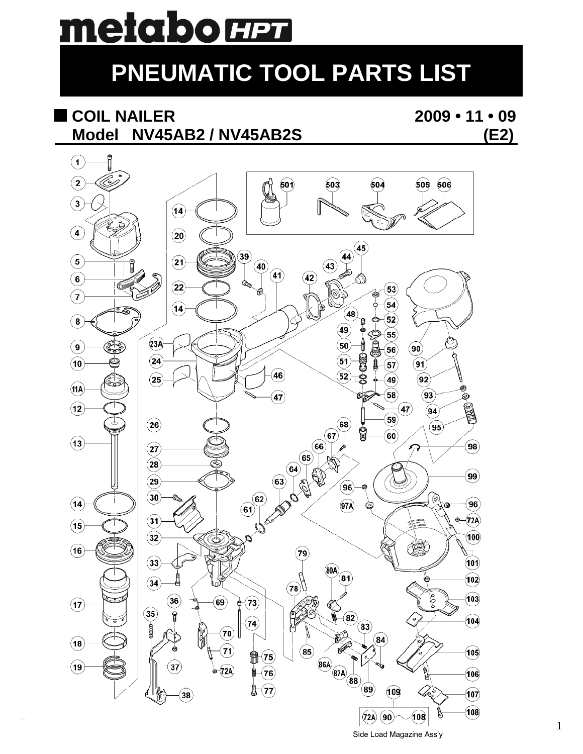# metabo **HPT**

## **PNEUMATIC TOOL PARTS LIST**

## **COIL NAILER 2009 • 11 • 09 Model NV45AB2 / NV45AB2S (E2)**

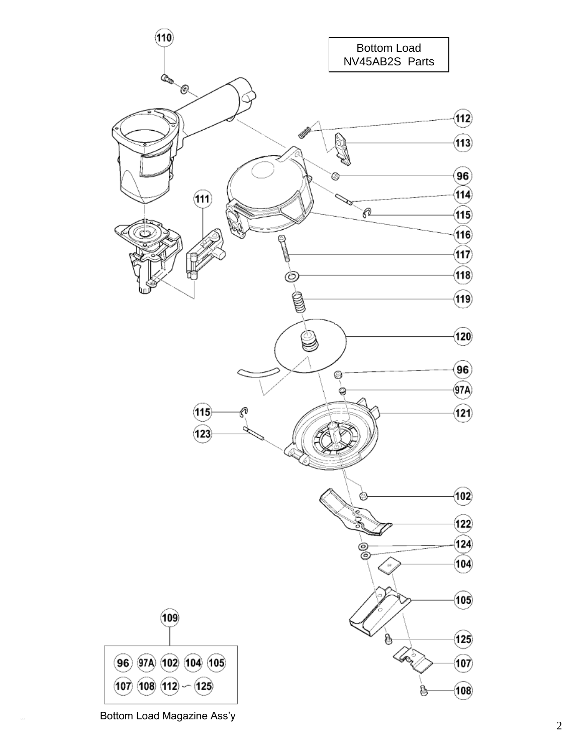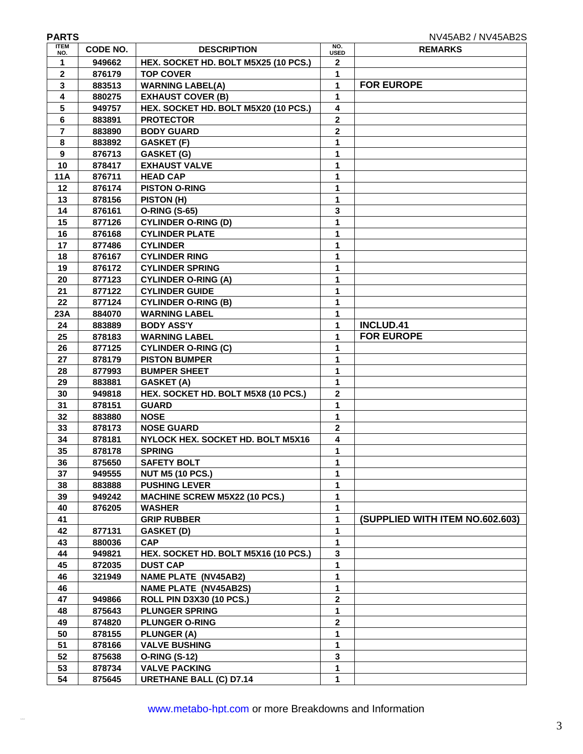| <b>PARTS</b>       |          |                                      |                         | NV45AB2 / NV45AB2S              |
|--------------------|----------|--------------------------------------|-------------------------|---------------------------------|
| <b>ITEM</b><br>NO. | CODE NO. | <b>DESCRIPTION</b>                   | NO.<br><b>USED</b>      | <b>REMARKS</b>                  |
| 1                  | 949662   | HEX. SOCKET HD. BOLT M5X25 (10 PCS.) | $\mathbf{2}$            |                                 |
| $\mathbf{2}$       | 876179   | <b>TOP COVER</b>                     | 1                       |                                 |
| 3                  | 883513   | <b>WARNING LABEL(A)</b>              | 1                       | <b>FOR EUROPE</b>               |
| 4                  | 880275   | <b>EXHAUST COVER (B)</b>             | 1                       |                                 |
| 5                  | 949757   | HEX. SOCKET HD. BOLT M5X20 (10 PCS.) | 4                       |                                 |
| 6                  | 883891   | <b>PROTECTOR</b>                     | $\mathbf{2}$            |                                 |
| $\overline{7}$     | 883890   | <b>BODY GUARD</b>                    | $\overline{2}$          |                                 |
| 8                  | 883892   | <b>GASKET (F)</b>                    | 1                       |                                 |
| 9                  | 876713   | <b>GASKET (G)</b>                    | 1                       |                                 |
| 10                 | 878417   | <b>EXHAUST VALVE</b>                 | 1                       |                                 |
| <b>11A</b>         | 876711   | <b>HEAD CAP</b>                      | 1                       |                                 |
| 12                 | 876174   | <b>PISTON O-RING</b>                 | 1                       |                                 |
| 13                 | 878156   | PISTON (H)                           | 1                       |                                 |
| 14                 | 876161   | <b>O-RING (S-65)</b>                 | 3                       |                                 |
| 15                 | 877126   | <b>CYLINDER O-RING (D)</b>           | 1                       |                                 |
| 16                 | 876168   | <b>CYLINDER PLATE</b>                | 1                       |                                 |
| 17                 | 877486   | <b>CYLINDER</b>                      | 1                       |                                 |
| 18                 | 876167   | <b>CYLINDER RING</b>                 | 1                       |                                 |
| 19                 | 876172   | <b>CYLINDER SPRING</b>               | 1                       |                                 |
| 20                 | 877123   | <b>CYLINDER O-RING (A)</b>           | 1                       |                                 |
| 21                 | 877122   | <b>CYLINDER GUIDE</b>                | 1                       |                                 |
| 22                 | 877124   | <b>CYLINDER O-RING (B)</b>           | 1                       |                                 |
| 23A                | 884070   | <b>WARNING LABEL</b>                 | 1                       |                                 |
| 24                 | 883889   | <b>BODY ASS'Y</b>                    | 1                       | <b>INCLUD.41</b>                |
| 25                 | 878183   | <b>WARNING LABEL</b>                 | 1                       | <b>FOR EUROPE</b>               |
| 26                 | 877125   | <b>CYLINDER O-RING (C)</b>           | 1                       |                                 |
| 27                 | 878179   | <b>PISTON BUMPER</b>                 | 1                       |                                 |
| 28                 | 877993   | <b>BUMPER SHEET</b>                  | 1                       |                                 |
| 29                 | 883881   | GASKET (A)                           | 1                       |                                 |
| 30                 | 949818   | HEX. SOCKET HD. BOLT M5X8 (10 PCS.)  | $\mathbf{2}$            |                                 |
| 31                 | 878151   | <b>GUARD</b>                         | 1                       |                                 |
| 32                 | 883880   | <b>NOSE</b>                          | 1                       |                                 |
| 33                 | 878173   | <b>NOSE GUARD</b>                    | $\overline{2}$          |                                 |
| 34                 | 878181   | NYLOCK HEX. SOCKET HD. BOLT M5X16    | 4                       |                                 |
| 35                 | 878178   | <b>SPRING</b>                        | 1                       |                                 |
| 36                 | 875650   | <b>SAFETY BOLT</b>                   | 1                       |                                 |
| 37                 | 949555   | <b>NUT M5 (10 PCS.)</b>              | 1                       |                                 |
| 38                 | 883888   | <b>PUSHING LEVER</b>                 | 1                       |                                 |
| 39                 | 949242   | <b>MACHINE SCREW M5X22 (10 PCS.)</b> | 1                       |                                 |
| 40                 | 876205   | <b>WASHER</b>                        | 1                       |                                 |
| 41                 |          | <b>GRIP RUBBER</b>                   | 1                       | (SUPPLIED WITH ITEM NO.602.603) |
| 42                 | 877131   | GASKET (D)                           | 1                       |                                 |
| 43                 | 880036   | <b>CAP</b>                           | 1                       |                                 |
| 44                 | 949821   | HEX. SOCKET HD. BOLT M5X16 (10 PCS.) | $\mathbf{3}$            |                                 |
| 45                 | 872035   | <b>DUST CAP</b>                      | 1                       |                                 |
| 46                 | 321949   | <b>NAME PLATE (NV45AB2)</b>          | 1                       |                                 |
| 46                 |          | <b>NAME PLATE (NV45AB2S)</b>         | 1                       |                                 |
| 47                 | 949866   | <b>ROLL PIN D3X30 (10 PCS.)</b>      | $\overline{\mathbf{2}}$ |                                 |
| 48                 | 875643   | <b>PLUNGER SPRING</b>                | 1                       |                                 |
| 49                 | 874820   | <b>PLUNGER O-RING</b>                | $\mathbf{2}$            |                                 |
| 50                 | 878155   | <b>PLUNGER (A)</b>                   | 1                       |                                 |
| 51                 | 878166   | <b>VALVE BUSHING</b>                 | 1                       |                                 |
| 52                 | 875638   | <b>O-RING (S-12)</b>                 | 3                       |                                 |
| 53                 | 878734   | <b>VALVE PACKING</b>                 | 1<br>1                  |                                 |
| 54                 | 875645   | <b>URETHANE BALL (C) D7.14</b>       |                         |                                 |

By Allen R.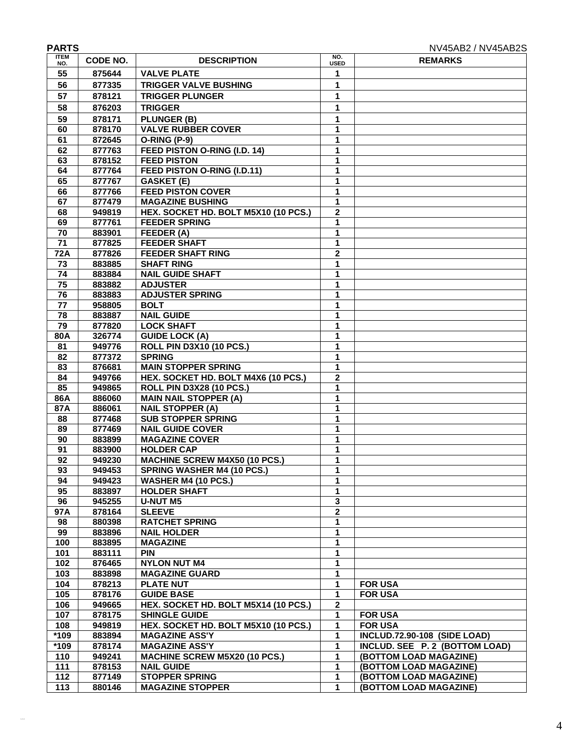| <b>PARTS</b>       |                  |                                             |                    | NV45AB2 / NV45AB2S                  |
|--------------------|------------------|---------------------------------------------|--------------------|-------------------------------------|
| <b>ITEM</b><br>NO. | CODE NO.         | <b>DESCRIPTION</b>                          | NO.<br><b>USED</b> | <b>REMARKS</b>                      |
| 55                 | 875644           | <b>VALVE PLATE</b>                          | 1                  |                                     |
| 56                 | 877335           | <b>TRIGGER VALVE BUSHING</b>                | 1                  |                                     |
| 57                 | 878121           | <b>TRIGGER PLUNGER</b>                      | 1                  |                                     |
| 58                 | 876203           | <b>TRIGGER</b>                              | 1                  |                                     |
| 59                 | 878171           | <b>PLUNGER (B)</b>                          | 1                  |                                     |
| 60                 | 878170           | <b>VALVE RUBBER COVER</b>                   | 1                  |                                     |
| 61                 | 872645           | <b>O-RING (P-9)</b>                         | 1                  |                                     |
| 62                 | 877763           | FEED PISTON O-RING (I.D. 14)                | 1                  |                                     |
| 63                 | 878152           | <b>FEED PISTON</b>                          | 1                  |                                     |
| 64                 | 877764           | FEED PISTON O-RING (I.D.11)                 | 1                  |                                     |
| 65                 | 877767           | <b>GASKET (E)</b>                           | 1                  |                                     |
| 66                 | 877766           | <b>FEED PISTON COVER</b>                    | 1                  |                                     |
| 67                 | 877479           | <b>MAGAZINE BUSHING</b>                     | 1                  |                                     |
| 68                 | 949819           | HEX. SOCKET HD. BOLT M5X10 (10 PCS.)        | $\overline{2}$     |                                     |
| 69                 | 877761           | <b>FEEDER SPRING</b>                        | 1                  |                                     |
| 70                 | 883901           | FEEDER (A)                                  | 1                  |                                     |
| 71                 | 877825           | <b>FEEDER SHAFT</b>                         | 1                  |                                     |
| 72A                | 877826           | <b>FEEDER SHAFT RING</b>                    | $\mathbf{2}$       |                                     |
| 73                 | 883885           | <b>SHAFT RING</b>                           | 1                  |                                     |
| 74                 | 883884           | <b>NAIL GUIDE SHAFT</b>                     | 1                  |                                     |
| $\overline{75}$    | 883882           | <b>ADJUSTER</b>                             | 1                  |                                     |
| 76                 | 883883           | <b>ADJUSTER SPRING</b>                      | 1                  |                                     |
| 77                 | 958805           | <b>BOLT</b>                                 | 1                  |                                     |
| $\overline{78}$    | 883887           | <b>NAIL GUIDE</b>                           | 1                  |                                     |
| 79                 | 877820           | <b>LOCK SHAFT</b>                           | 1                  |                                     |
| 80A                | 326774           | <b>GUIDE LOCK (A)</b>                       | 1                  |                                     |
| 81                 | 949776           | <b>ROLL PIN D3X10 (10 PCS.)</b>             | 1                  |                                     |
| 82                 | 877372           | <b>SPRING</b>                               | 1                  |                                     |
| 83                 | 876681           | <b>MAIN STOPPER SPRING</b>                  | 1                  |                                     |
| 84                 | 949766           | HEX. SOCKET HD. BOLT M4X6 (10 PCS.)         | 2                  |                                     |
| 85                 | 949865           | <b>ROLL PIN D3X28 (10 PCS.)</b>             | 1                  |                                     |
| 86A                | 886060           | <b>MAIN NAIL STOPPER (A)</b>                | 1                  |                                     |
| 87A                | 886061           | <b>NAIL STOPPER (A)</b>                     | 1                  |                                     |
| 88                 | 877468           | <b>SUB STOPPER SPRING</b>                   | 1                  |                                     |
| 89                 | 877469           | <b>NAIL GUIDE COVER</b>                     | 1                  |                                     |
| 90                 | 883899           | <b>MAGAZINE COVER</b>                       | 1                  |                                     |
| 91                 | 883900           | <b>HOLDER CAP</b>                           | 1                  |                                     |
| 92                 | 949230           | <b>MACHINE SCREW M4X50 (10 PCS.)</b>        | 1                  |                                     |
| 93                 | 949453           | <b>SPRING WASHER M4 (10 PCS.)</b>           | 1                  |                                     |
| 94                 | 949423           | <b>WASHER M4 (10 PCS.)</b>                  | 1                  |                                     |
| 95                 | 883897           | <b>HOLDER SHAFT</b>                         | 1                  |                                     |
| 96                 | 945255           | <b>U-NUT M5</b>                             | $\mathbf 3$        |                                     |
| 97A                | 878164           | <b>SLEEVE</b>                               | $\bf 2$            |                                     |
| 98<br>99           | 880398<br>883896 | <b>RATCHET SPRING</b><br><b>NAIL HOLDER</b> | 1<br>1             |                                     |
| 100                |                  | <b>MAGAZINE</b>                             | 1                  |                                     |
| 101                | 883895<br>883111 | <b>PIN</b>                                  | 1                  |                                     |
| 102                | 876465           | <b>NYLON NUT M4</b>                         | 1                  |                                     |
| 103                | 883898           | <b>MAGAZINE GUARD</b>                       | 1                  |                                     |
| 104                | 878213           | <b>PLATE NUT</b>                            | 1                  | <b>FOR USA</b>                      |
| 105                | 878176           | <b>GUIDE BASE</b>                           | 1                  | <b>FOR USA</b>                      |
| 106                | 949665           | HEX. SOCKET HD. BOLT M5X14 (10 PCS.)        | $\mathbf{2}$       |                                     |
| 107                | 878175           | <b>SHINGLE GUIDE</b>                        | 1                  | <b>FOR USA</b>                      |
| 108                | 949819           | HEX. SOCKET HD. BOLT M5X10 (10 PCS.)        | 1                  | <b>FOR USA</b>                      |
| *109               | 883894           | <b>MAGAZINE ASS'Y</b>                       | 1                  | <b>INCLUD.72.90-108 (SIDE LOAD)</b> |
| *109               | 878174           | <b>MAGAZINE ASS'Y</b>                       | 1                  | INCLUD. SEE P. 2 (BOTTOM LOAD)      |
| 110                | 949241           | <b>MACHINE SCREW M5X20 (10 PCS.)</b>        | 1                  | (BOTTOM LOAD MAGAZINE)              |
| 111                | 878153           | <b>NAIL GUIDE</b>                           | 1                  | (BOTTOM LOAD MAGAZINE)              |
| 112                | 877149           | <b>STOPPER SPRING</b>                       | 1                  | (BOTTOM LOAD MAGAZINE)              |
| 113                | 880146           | <b>MAGAZINE STOPPER</b>                     | 1                  | (BOTTOM LOAD MAGAZINE)              |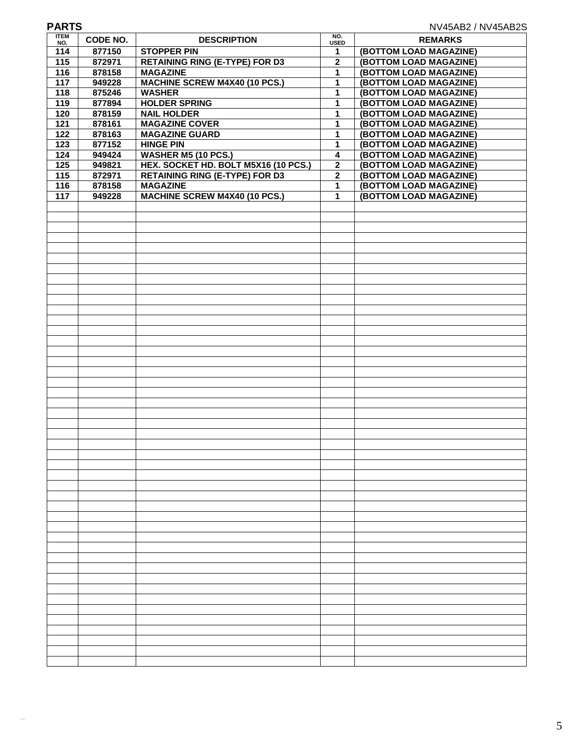| <b>PARTS</b><br>NV45AB2 / NV45AB2S |          |                                       |                    |                        |  |
|------------------------------------|----------|---------------------------------------|--------------------|------------------------|--|
| <b>ITEM</b><br>NO.                 | CODE NO. | <b>DESCRIPTION</b>                    | NO.<br><b>USED</b> | <b>REMARKS</b>         |  |
| 114                                | 877150   | <b>STOPPER PIN</b>                    | 1                  | (BOTTOM LOAD MAGAZINE) |  |
| 115                                | 872971   | <b>RETAINING RING (E-TYPE) FOR D3</b> | 2                  | (BOTTOM LOAD MAGAZINE) |  |
| $\frac{116}{116}$                  | 878158   | <b>MAGAZINE</b>                       | 1                  | (BOTTOM LOAD MAGAZINE) |  |
| 117                                | 949228   | <b>MACHINE SCREW M4X40 (10 PCS.)</b>  | 1                  | (BOTTOM LOAD MAGAZINE) |  |
| $\frac{1}{18}$                     | 875246   | <b>WASHER</b>                         | 1                  | (BOTTOM LOAD MAGAZINE) |  |
| 119                                | 877894   | <b>HOLDER SPRING</b>                  | 1                  | (BOTTOM LOAD MAGAZINE) |  |
| 120                                | 878159   | <b>NAIL HOLDER</b>                    | 1                  | (BOTTOM LOAD MAGAZINE) |  |
| $\overline{121}$                   | 878161   | <b>MAGAZINE COVER</b>                 | 1                  | (BOTTOM LOAD MAGAZINE) |  |
| 122                                | 878163   | <b>MAGAZINE GUARD</b>                 | 1                  | (BOTTOM LOAD MAGAZINE) |  |
| 123                                | 877152   | <b>HINGE PIN</b>                      | 1                  | (BOTTOM LOAD MAGAZINE) |  |
| 124                                | 949424   | <b>WASHER M5 (10 PCS.)</b>            | 4                  | (BOTTOM LOAD MAGAZINE) |  |
| 125                                | 949821   | HEX. SOCKET HD. BOLT M5X16 (10 PCS.)  | $\mathbf 2$        | (BOTTOM LOAD MAGAZINE) |  |
| 115                                | 872971   | <b>RETAINING RING (E-TYPE) FOR D3</b> | $\overline{2}$     | (BOTTOM LOAD MAGAZINE) |  |
| $\frac{116}{116}$                  | 878158   | <b>MAGAZINE</b>                       | 1                  | (BOTTOM LOAD MAGAZINE) |  |
| $\overline{117}$                   | 949228   | <b>MACHINE SCREW M4X40 (10 PCS.)</b>  | $\mathbf 1$        | (BOTTOM LOAD MAGAZINE) |  |
|                                    |          |                                       |                    |                        |  |
|                                    |          |                                       |                    |                        |  |
|                                    |          |                                       |                    |                        |  |
|                                    |          |                                       |                    |                        |  |
|                                    |          |                                       |                    |                        |  |
|                                    |          |                                       |                    |                        |  |
|                                    |          |                                       |                    |                        |  |
|                                    |          |                                       |                    |                        |  |
|                                    |          |                                       |                    |                        |  |
|                                    |          |                                       |                    |                        |  |
|                                    |          |                                       |                    |                        |  |
|                                    |          |                                       |                    |                        |  |
|                                    |          |                                       |                    |                        |  |
|                                    |          |                                       |                    |                        |  |
|                                    |          |                                       |                    |                        |  |
|                                    |          |                                       |                    |                        |  |
|                                    |          |                                       |                    |                        |  |
|                                    |          |                                       |                    |                        |  |
|                                    |          |                                       |                    |                        |  |
|                                    |          |                                       |                    |                        |  |
|                                    |          |                                       |                    |                        |  |
|                                    |          |                                       |                    |                        |  |
|                                    |          |                                       |                    |                        |  |
|                                    |          |                                       |                    |                        |  |
|                                    |          |                                       |                    |                        |  |
|                                    |          |                                       |                    |                        |  |
|                                    |          |                                       |                    |                        |  |
|                                    |          |                                       |                    |                        |  |
|                                    |          |                                       |                    |                        |  |
|                                    |          |                                       |                    |                        |  |
|                                    |          |                                       |                    |                        |  |
|                                    |          |                                       |                    |                        |  |
|                                    |          |                                       |                    |                        |  |
|                                    |          |                                       |                    |                        |  |
|                                    |          |                                       |                    |                        |  |
|                                    |          |                                       |                    |                        |  |
|                                    |          |                                       |                    |                        |  |
|                                    |          |                                       |                    |                        |  |
|                                    |          |                                       |                    |                        |  |
|                                    |          |                                       |                    |                        |  |
|                                    |          |                                       |                    |                        |  |
|                                    |          |                                       |                    |                        |  |